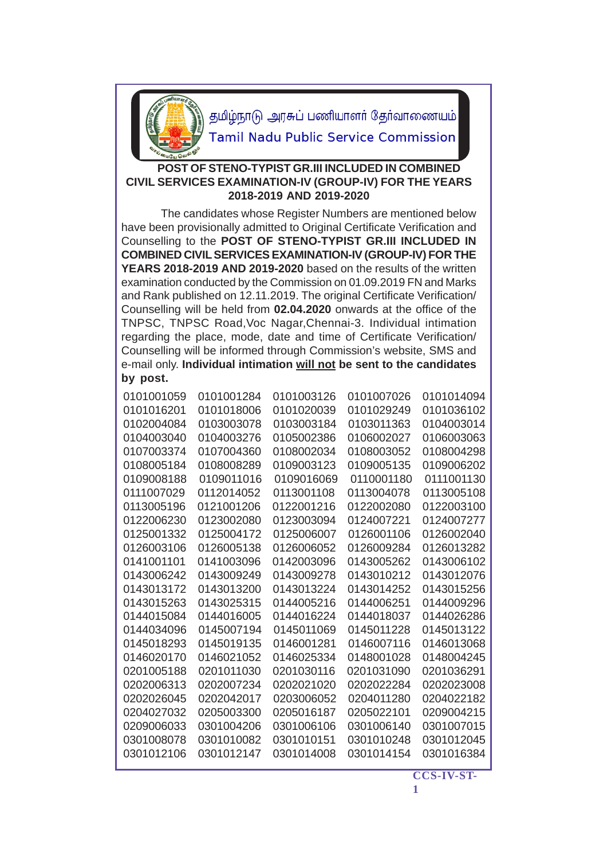

தமிழ்நாடு அரசுப் பணியாளர் தேர்வாணையம்

**Tamil Nadu Public Service Commission** 

## **POST OF STENO-TYPIST GR.III INCLUDED IN COMBINED CIVIL SERVICES EXAMINATION-IV (GROUP-IV) FOR THE YEARS 2018-2019 AND 2019-2020**

 The candidates whose Register Numbers are mentioned below have been provisionally admitted to Original Certificate Verification and Counselling to the **POST OF STENO-TYPIST GR.III INCLUDED IN COMBINED CIVIL SERVICES EXAMINATION-IV (GROUP-IV) FOR THE YEARS 2018-2019 AND 2019-2020** based on the results of the written examination conducted by the Commission on 01.09.2019 FN and Marks and Rank published on 12.11.2019. The original Certificate Verification/ Counselling will be held from **02.04.2020** onwards at the office of the TNPSC, TNPSC Road,Voc Nagar,Chennai-3. Individual intimation regarding the place, mode, date and time of Certificate Verification/ Counselling will be informed through Commission's website, SMS and e-mail only. **Individual intimation will not be sent to the candidates by post.**

| 0101001059 | 0101001284 | 0101003126 | 0101007026 | 0101014094 |
|------------|------------|------------|------------|------------|
| 0101016201 | 0101018006 | 0101020039 | 0101029249 | 0101036102 |
| 0102004084 | 0103003078 | 0103003184 | 0103011363 | 0104003014 |
| 0104003040 | 0104003276 | 0105002386 | 0106002027 | 0106003063 |
| 0107003374 | 0107004360 | 0108002034 | 0108003052 | 0108004298 |
| 0108005184 | 0108008289 | 0109003123 | 0109005135 | 0109006202 |
| 0109008188 | 0109011016 | 0109016069 | 0110001180 | 0111001130 |
| 0111007029 | 0112014052 | 0113001108 | 0113004078 | 0113005108 |
| 0113005196 | 0121001206 | 0122001216 | 0122002080 | 0122003100 |
| 0122006230 | 0123002080 | 0123003094 | 0124007221 | 0124007277 |
| 0125001332 | 0125004172 | 0125006007 | 0126001106 | 0126002040 |
| 0126003106 | 0126005138 | 0126006052 | 0126009284 | 0126013282 |
| 0141001101 | 0141003096 | 0142003096 | 0143005262 | 0143006102 |
| 0143006242 | 0143009249 | 0143009278 | 0143010212 | 0143012076 |
| 0143013172 | 0143013200 | 0143013224 | 0143014252 | 0143015256 |
| 0143015263 | 0143025315 | 0144005216 | 0144006251 | 0144009296 |
| 0144015084 | 0144016005 | 0144016224 | 0144018037 | 0144026286 |
| 0144034096 | 0145007194 | 0145011069 | 0145011228 | 0145013122 |
| 0145018293 | 0145019135 | 0146001281 | 0146007116 | 0146013068 |
| 0146020170 | 0146021052 | 0146025334 | 0148001028 | 0148004245 |
| 0201005188 | 0201011030 | 0201030116 | 0201031090 | 0201036291 |
| 0202006313 | 0202007234 | 0202021020 | 0202022284 | 0202023008 |
| 0202026045 | 0202042017 | 0203006052 | 0204011280 | 0204022182 |
| 0204027032 | 0205003300 | 0205016187 | 0205022101 | 0209004215 |
| 0209006033 | 0301004206 | 0301006106 | 0301006140 | 0301007015 |
| 0301008078 | 0301010082 | 0301010151 | 0301010248 | 0301012045 |
| 0301012106 | 0301012147 | 0301014008 | 0301014154 | 0301016384 |
|            |            |            |            |            |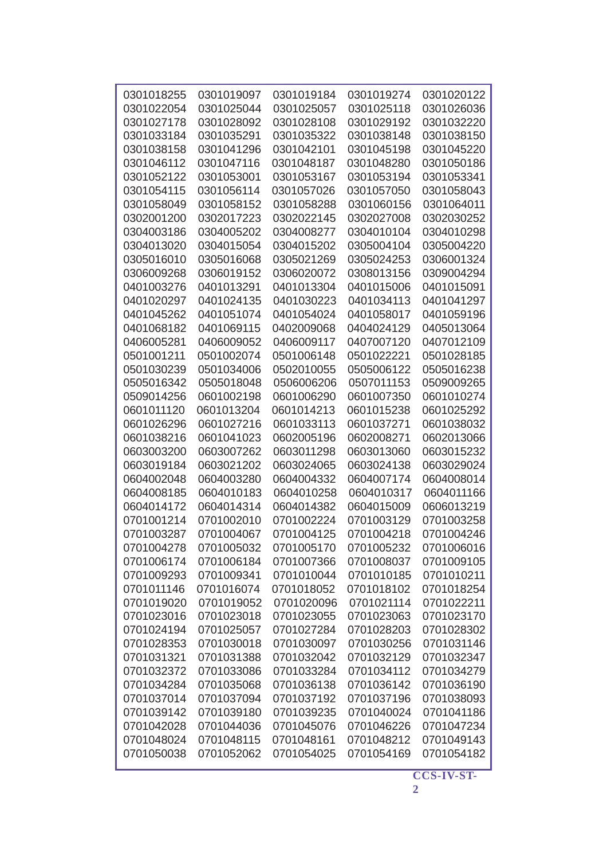| 0301018255 | 0301019097 | 0301019184 | 0301019274 | 0301020122 |
|------------|------------|------------|------------|------------|
| 0301022054 | 0301025044 | 0301025057 | 0301025118 | 0301026036 |
| 0301027178 | 0301028092 | 0301028108 | 0301029192 | 0301032220 |
|            |            |            |            |            |
| 0301033184 | 0301035291 | 0301035322 | 0301038148 | 0301038150 |
| 0301038158 | 0301041296 | 0301042101 | 0301045198 | 0301045220 |
| 0301046112 | 0301047116 | 0301048187 | 0301048280 | 0301050186 |
| 0301052122 | 0301053001 | 0301053167 | 0301053194 | 0301053341 |
| 0301054115 | 0301056114 | 0301057026 | 0301057050 | 0301058043 |
| 0301058049 | 0301058152 | 0301058288 | 0301060156 | 0301064011 |
| 0302001200 | 0302017223 | 0302022145 | 0302027008 | 0302030252 |
| 0304003186 | 0304005202 | 0304008277 | 0304010104 | 0304010298 |
| 0304013020 | 0304015054 | 0304015202 | 0305004104 | 0305004220 |
| 0305016010 | 0305016068 | 0305021269 | 0305024253 | 0306001324 |
| 0306009268 | 0306019152 | 0306020072 | 0308013156 | 0309004294 |
| 0401003276 | 0401013291 | 0401013304 | 0401015006 | 0401015091 |
| 0401020297 | 0401024135 | 0401030223 | 0401034113 | 0401041297 |
| 0401045262 | 0401051074 | 0401054024 | 0401058017 | 0401059196 |
| 0401068182 | 0401069115 | 0402009068 | 0404024129 | 0405013064 |
| 0406005281 | 0406009052 | 0406009117 | 0407007120 | 0407012109 |
| 0501001211 | 0501002074 | 0501006148 | 0501022221 | 0501028185 |
| 0501030239 | 0501034006 | 0502010055 | 0505006122 | 0505016238 |
| 0505016342 | 0505018048 | 0506006206 | 0507011153 | 0509009265 |
| 0509014256 | 0601002198 | 0601006290 | 0601007350 | 0601010274 |
| 0601011120 | 0601013204 | 0601014213 | 0601015238 | 0601025292 |
| 0601026296 | 0601027216 | 0601033113 | 0601037271 | 0601038032 |
| 0601038216 | 0601041023 | 0602005196 | 0602008271 | 0602013066 |
| 0603003200 | 0603007262 | 0603011298 | 0603013060 | 0603015232 |
| 0603019184 | 0603021202 | 0603024065 | 0603024138 | 0603029024 |
| 0604002048 | 0604003280 | 0604004332 | 0604007174 | 0604008014 |
| 0604008185 | 0604010183 | 0604010258 | 0604010317 | 0604011166 |
| 0604014172 | 0604014314 | 0604014382 | 0604015009 | 0606013219 |
| 0701001214 | 0701002010 | 0701002224 | 0701003129 | 0701003258 |
| 0701003287 | 0701004067 | 0701004125 | 0701004218 | 0701004246 |
| 0701004278 | 0701005032 | 0701005170 | 0701005232 | 0701006016 |
| 0701006174 | 0701006184 | 0701007366 | 0701008037 | 0701009105 |
| 0701009293 | 0701009341 | 0701010044 | 0701010185 | 0701010211 |
| 0701011146 | 0701016074 | 0701018052 | 0701018102 | 0701018254 |
| 0701019020 | 0701019052 | 0701020096 | 0701021114 | 0701022211 |
| 0701023016 | 0701023018 | 0701023055 | 0701023063 | 0701023170 |
| 0701024194 | 0701025057 | 0701027284 | 0701028203 | 0701028302 |
| 0701028353 | 0701030018 | 0701030097 | 0701030256 | 0701031146 |
| 0701031321 | 0701031388 | 0701032042 | 0701032129 | 0701032347 |
| 0701032372 | 0701033086 | 0701033284 | 0701034112 | 0701034279 |
| 0701034284 | 0701035068 | 0701036138 | 0701036142 | 0701036190 |
| 0701037014 | 0701037094 | 0701037192 | 0701037196 | 0701038093 |
| 0701039142 | 0701039180 | 0701039235 | 0701040024 | 0701041186 |
| 0701042028 | 0701044036 | 0701045076 | 0701046226 | 0701047234 |
| 0701048024 | 0701048115 | 0701048161 | 0701048212 | 0701049143 |
| 0701050038 | 0701052062 | 0701054025 | 0701054169 | 0701054182 |
|            |            |            |            |            |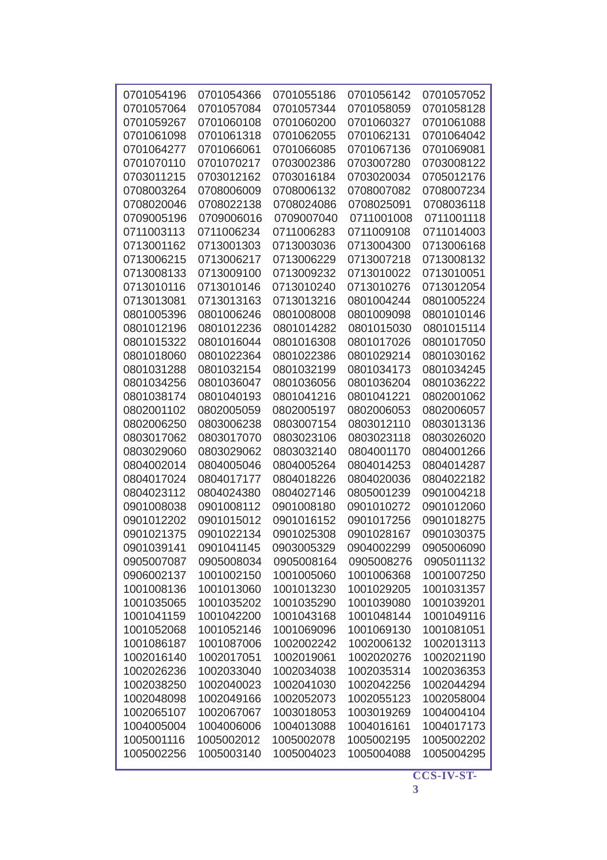| 0701054196 | 0701054366 | 0701055186 | 0701056142 |            |
|------------|------------|------------|------------|------------|
|            |            |            |            | 0701057052 |
| 0701057064 | 0701057084 | 0701057344 | 0701058059 | 0701058128 |
| 0701059267 | 0701060108 | 0701060200 | 0701060327 | 0701061088 |
| 0701061098 | 0701061318 | 0701062055 | 0701062131 | 0701064042 |
| 0701064277 | 0701066061 | 0701066085 | 0701067136 | 0701069081 |
| 0701070110 | 0701070217 | 0703002386 | 0703007280 | 0703008122 |
| 0703011215 | 0703012162 | 0703016184 | 0703020034 | 0705012176 |
| 0708003264 | 0708006009 | 0708006132 | 0708007082 | 0708007234 |
| 0708020046 | 0708022138 | 0708024086 | 0708025091 | 0708036118 |
| 0709005196 | 0709006016 | 0709007040 | 0711001008 | 0711001118 |
| 0711003113 | 0711006234 | 0711006283 | 0711009108 | 0711014003 |
| 0713001162 | 0713001303 | 0713003036 | 0713004300 | 0713006168 |
| 0713006215 | 0713006217 | 0713006229 | 0713007218 | 0713008132 |
| 0713008133 | 0713009100 | 0713009232 | 0713010022 | 0713010051 |
| 0713010116 | 0713010146 | 0713010240 | 0713010276 | 0713012054 |
| 0713013081 | 0713013163 | 0713013216 | 0801004244 | 0801005224 |
| 0801005396 | 0801006246 | 0801008008 | 0801009098 | 0801010146 |
| 0801012196 | 0801012236 | 0801014282 | 0801015030 | 0801015114 |
| 0801015322 | 0801016044 | 0801016308 | 0801017026 | 0801017050 |
|            |            |            |            |            |
| 0801018060 | 0801022364 | 0801022386 | 0801029214 | 0801030162 |
| 0801031288 | 0801032154 | 0801032199 | 0801034173 | 0801034245 |
| 0801034256 | 0801036047 | 0801036056 | 0801036204 | 0801036222 |
| 0801038174 | 0801040193 | 0801041216 | 0801041221 | 0802001062 |
| 0802001102 | 0802005059 | 0802005197 | 0802006053 | 0802006057 |
| 0802006250 | 0803006238 | 0803007154 | 0803012110 | 0803013136 |
| 0803017062 | 0803017070 | 0803023106 | 0803023118 | 0803026020 |
| 0803029060 | 0803029062 | 0803032140 | 0804001170 | 0804001266 |
| 0804002014 | 0804005046 | 0804005264 | 0804014253 | 0804014287 |
| 0804017024 | 0804017177 | 0804018226 | 0804020036 | 0804022182 |
| 0804023112 | 0804024380 | 0804027146 | 0805001239 | 0901004218 |
| 0901008038 | 0901008112 | 0901008180 | 0901010272 | 0901012060 |
| 0901012202 | 0901015012 | 0901016152 | 0901017256 | 0901018275 |
| 0901021375 | 0901022134 | 0901025308 | 0901028167 | 0901030375 |
| 0901039141 | 0901041145 | 0903005329 | 0904002299 | 0905006090 |
| 0905007087 | 0905008034 | 0905008164 | 0905008276 | 0905011132 |
| 0906002137 | 1001002150 | 1001005060 | 1001006368 | 1001007250 |
| 1001008136 | 1001013060 | 1001013230 | 1001029205 | 1001031357 |
| 1001035065 | 1001035202 | 1001035290 | 1001039080 | 1001039201 |
| 1001041159 | 1001042200 | 1001043168 | 1001048144 | 1001049116 |
| 1001052068 | 1001052146 | 1001069096 | 1001069130 | 1001081051 |
| 1001086187 | 1001087006 | 1002002242 | 1002006132 | 1002013113 |
| 1002016140 | 1002017051 | 1002019061 | 1002020276 | 1002021190 |
|            |            |            |            |            |
| 1002026236 | 1002033040 | 1002034038 | 1002035314 | 1002036353 |
| 1002038250 | 1002040023 | 1002041030 | 1002042256 | 1002044294 |
| 1002048098 | 1002049166 | 1002052073 | 1002055123 | 1002058004 |
| 1002065107 | 1002067067 | 1003018053 | 1003019269 | 1004004104 |
| 1004005004 | 1004006006 | 1004013088 | 1004016161 | 1004017173 |
| 1005001116 | 1005002012 | 1005002078 | 1005002195 | 1005002202 |
| 1005002256 | 1005003140 | 1005004023 | 1005004088 | 1005004295 |
|            |            |            |            |            |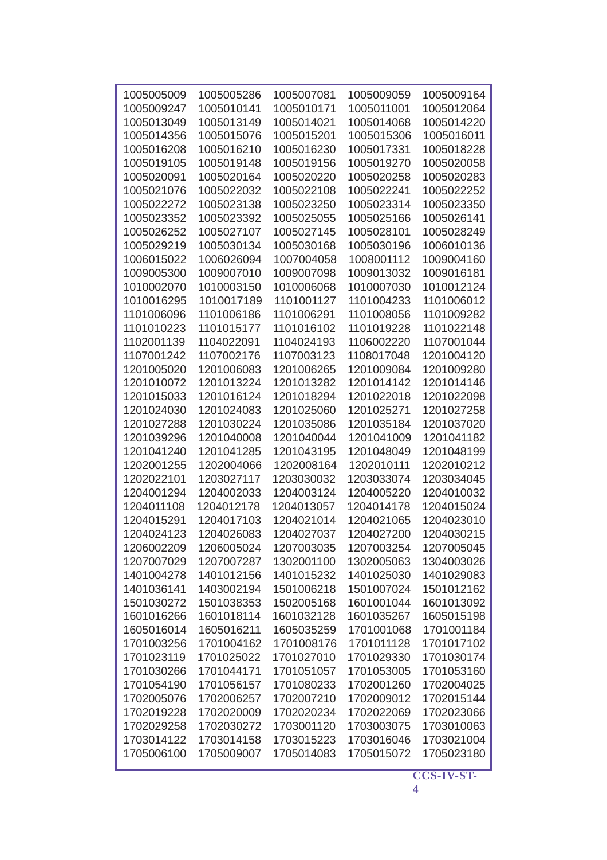| 1005005009 | 1005005286 | 1005007081 | 1005009059 | 1005009164 |
|------------|------------|------------|------------|------------|
| 1005009247 | 1005010141 | 1005010171 | 1005011001 | 1005012064 |
| 1005013049 | 1005013149 | 1005014021 | 1005014068 | 1005014220 |
| 1005014356 | 1005015076 | 1005015201 | 1005015306 | 1005016011 |
| 1005016208 | 1005016210 | 1005016230 | 1005017331 | 1005018228 |
| 1005019105 | 1005019148 | 1005019156 | 1005019270 | 1005020058 |
| 1005020091 | 1005020164 | 1005020220 | 1005020258 | 1005020283 |
| 1005021076 | 1005022032 | 1005022108 | 1005022241 | 1005022252 |
| 1005022272 | 1005023138 | 1005023250 | 1005023314 | 1005023350 |
| 1005023352 | 1005023392 | 1005025055 | 1005025166 | 1005026141 |
| 1005026252 | 1005027107 | 1005027145 | 1005028101 | 1005028249 |
| 1005029219 | 1005030134 | 1005030168 | 1005030196 | 1006010136 |
| 1006015022 | 1006026094 | 1007004058 | 1008001112 | 1009004160 |
| 1009005300 | 1009007010 | 1009007098 | 1009013032 | 1009016181 |
| 1010002070 | 1010003150 | 1010006068 | 1010007030 | 1010012124 |
| 1010016295 | 1010017189 | 1101001127 | 1101004233 | 1101006012 |
| 1101006096 | 1101006186 | 1101006291 | 1101008056 | 1101009282 |
| 1101010223 | 1101015177 | 1101016102 | 1101019228 | 1101022148 |
| 1102001139 | 1104022091 | 1104024193 | 1106002220 | 1107001044 |
| 1107001242 | 1107002176 | 1107003123 | 1108017048 | 1201004120 |
| 1201005020 | 1201006083 | 1201006265 | 1201009084 | 1201009280 |
| 1201010072 | 1201013224 | 1201013282 | 1201014142 | 1201014146 |
|            |            |            |            |            |
| 1201015033 | 1201016124 | 1201018294 | 1201022018 | 1201022098 |
| 1201024030 | 1201024083 | 1201025060 | 1201025271 | 1201027258 |
| 1201027288 | 1201030224 | 1201035086 | 1201035184 | 1201037020 |
| 1201039296 | 1201040008 | 1201040044 | 1201041009 | 1201041182 |
| 1201041240 | 1201041285 | 1201043195 | 1201048049 | 1201048199 |
| 1202001255 | 1202004066 | 1202008164 | 1202010111 | 1202010212 |
| 1202022101 | 1203027117 | 1203030032 | 1203033074 | 1203034045 |
| 1204001294 | 1204002033 | 1204003124 | 1204005220 | 1204010032 |
| 1204011108 | 1204012178 | 1204013057 | 1204014178 | 1204015024 |
| 1204015291 | 1204017103 | 1204021014 | 1204021065 | 1204023010 |
| 1204024123 | 1204026083 | 1204027037 | 1204027200 | 1204030215 |
| 1206002209 | 1206005024 | 1207003035 | 1207003254 | 1207005045 |
| 1207007029 | 1207007287 | 1302001100 | 1302005063 | 1304003026 |
| 1401004278 | 1401012156 | 1401015232 | 1401025030 | 1401029083 |
| 1401036141 | 1403002194 | 1501006218 | 1501007024 | 1501012162 |
| 1501030272 | 1501038353 | 1502005168 | 1601001044 | 1601013092 |
| 1601016266 | 1601018114 | 1601032128 | 1601035267 | 1605015198 |
| 1605016014 | 1605016211 | 1605035259 | 1701001068 | 1701001184 |
| 1701003256 | 1701004162 | 1701008176 | 1701011128 | 1701017102 |
| 1701023119 | 1701025022 | 1701027010 | 1701029330 | 1701030174 |
| 1701030266 | 1701044171 | 1701051057 | 1701053005 | 1701053160 |
| 1701054190 | 1701056157 | 1701080233 | 1702001260 | 1702004025 |
| 1702005076 | 1702006257 | 1702007210 | 1702009012 | 1702015144 |
| 1702019228 | 1702020009 | 1702020234 | 1702022069 | 1702023066 |
| 1702029258 | 1702030272 | 1703001120 | 1703003075 | 1703010063 |
| 1703014122 | 1703014158 | 1703015223 | 1703016046 | 1703021004 |
| 1705006100 | 1705009007 | 1705014083 | 1705015072 | 1705023180 |
|            |            |            |            |            |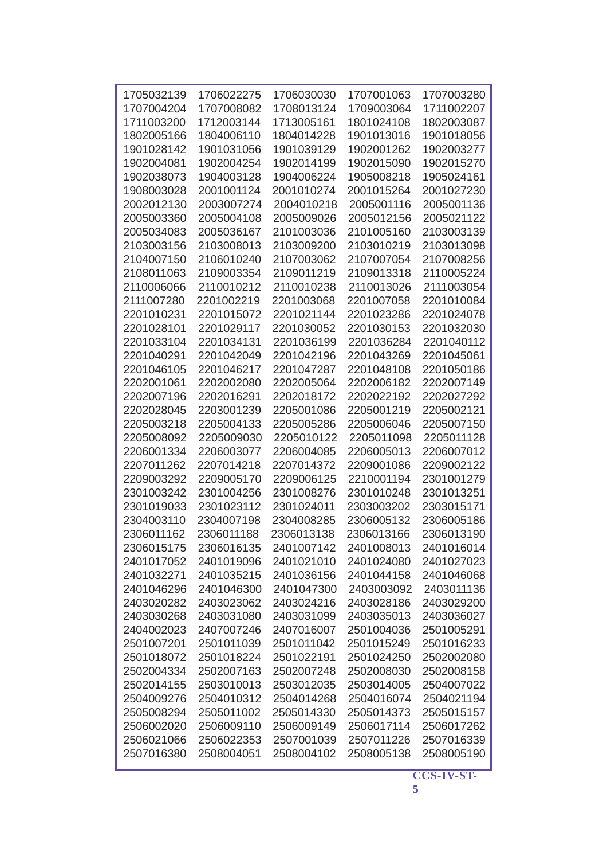| 1705032139 | 1706022275 | 1706030030 | 1707001063 | 1707003280 |
|------------|------------|------------|------------|------------|
| 1707004204 | 1707008082 | 1708013124 | 1709003064 | 1711002207 |
| 1711003200 | 1712003144 | 1713005161 | 1801024108 | 1802003087 |
| 1802005166 | 1804006110 | 1804014228 | 1901013016 | 1901018056 |
| 1901028142 | 1901031056 | 1901039129 | 1902001262 | 1902003277 |
| 1902004081 | 1902004254 | 1902014199 | 1902015090 | 1902015270 |
| 1902038073 | 1904003128 | 1904006224 | 1905008218 | 1905024161 |
| 1908003028 | 2001001124 | 2001010274 | 2001015264 | 2001027230 |
| 2002012130 | 2003007274 | 2004010218 | 2005001116 | 2005001136 |
| 2005003360 | 2005004108 | 2005009026 | 2005012156 | 2005021122 |
| 2005034083 | 2005036167 | 2101003036 | 2101005160 | 2103003139 |
| 2103003156 | 2103008013 | 2103009200 | 2103010219 | 2103013098 |
| 2104007150 | 2106010240 | 2107003062 | 2107007054 | 2107008256 |
| 2108011063 | 2109003354 | 2109011219 | 2109013318 | 2110005224 |
|            |            |            |            |            |
| 2110006066 | 2110010212 | 2110010238 | 2110013026 | 2111003054 |
| 2111007280 | 2201002219 | 2201003068 | 2201007058 | 2201010084 |
| 2201010231 | 2201015072 | 2201021144 | 2201023286 | 2201024078 |
| 2201028101 | 2201029117 | 2201030052 | 2201030153 | 2201032030 |
| 2201033104 | 2201034131 | 2201036199 | 2201036284 | 2201040112 |
| 2201040291 | 2201042049 | 2201042196 | 2201043269 | 2201045061 |
| 2201046105 | 2201046217 | 2201047287 | 2201048108 | 2201050186 |
| 2202001061 | 2202002080 | 2202005064 | 2202006182 | 2202007149 |
| 2202007196 | 2202016291 | 2202018172 | 2202022192 | 2202027292 |
| 2202028045 | 2203001239 | 2205001086 | 2205001219 | 2205002121 |
| 2205003218 | 2205004133 | 2205005286 | 2205006046 | 2205007150 |
| 2205008092 | 2205009030 | 2205010122 | 2205011098 | 2205011128 |
| 2206001334 | 2206003077 | 2206004085 | 2206005013 | 2206007012 |
| 2207011262 | 2207014218 | 2207014372 | 2209001086 | 2209002122 |
| 2209003292 | 2209005170 | 2209006125 | 2210001194 | 2301001279 |
| 2301003242 | 2301004256 | 2301008276 | 2301010248 | 2301013251 |
| 2301019033 | 2301023112 | 2301024011 | 2303003202 | 2303015171 |
| 2304003110 | 2304007198 | 2304008285 | 2306005132 | 2306005186 |
| 2306011162 | 2306011188 | 2306013138 | 2306013166 | 2306013190 |
| 2306015175 | 2306016135 | 2401007142 | 2401008013 | 2401016014 |
| 2401017052 | 2401019096 | 2401021010 | 2401024080 | 2401027023 |
|            |            | 2401036156 | 2401044158 |            |
| 2401032271 | 2401035215 |            |            | 2401046068 |
| 2401046296 | 2401046300 | 2401047300 | 2403003092 | 2403011136 |
| 2403020282 | 2403023062 | 2403024216 | 2403028186 | 2403029200 |
| 2403030268 | 2403031080 | 2403031099 | 2403035013 | 2403036027 |
| 2404002023 | 2407007246 | 2407016007 | 2501004036 | 2501005291 |
| 2501007201 | 2501011039 | 2501011042 | 2501015249 | 2501016233 |
| 2501018072 | 2501018224 | 2501022191 | 2501024250 | 2502002080 |
| 2502004334 | 2502007163 | 2502007248 | 2502008030 | 2502008158 |
| 2502014155 | 2503010013 | 2503012035 | 2503014005 | 2504007022 |
| 2504009276 | 2504010312 | 2504014268 | 2504016074 | 2504021194 |
| 2505008294 | 2505011002 | 2505014330 | 2505014373 | 2505015157 |
| 2506002020 | 2506009110 | 2506009149 | 2506017114 | 2506017262 |
| 2506021066 | 2506022353 | 2507001039 | 2507011226 | 2507016339 |
| 2507016380 | 2508004051 | 2508004102 | 2508005138 | 2508005190 |
|            |            |            |            |            |

 $\frac{\text{CCS-IV-ST-}}{5}$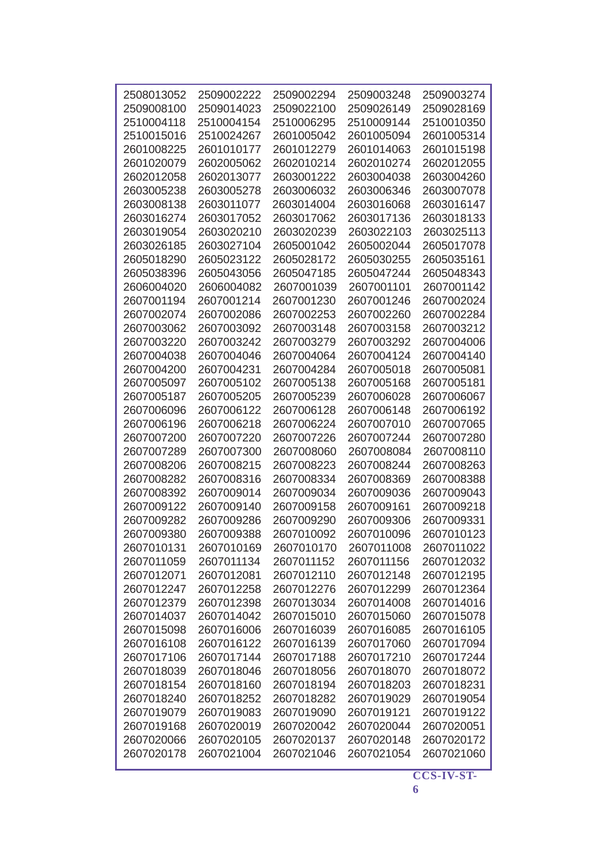| 2508013052<br>2509002222<br>2509002294<br>2509003248<br>2509003274<br>2509008100<br>2509014023<br>2509022100<br>2509026149<br>2509028169<br>2510004118<br>2510006295<br>2510010350<br>2510004154<br>2510009144<br>2510015016<br>2510024267<br>2601005042<br>2601005094<br>2601005314<br>2601008225<br>2601012279<br>2601015198<br>2601010177<br>2601014063<br>2601020079<br>2602005062<br>2602010214<br>2602010274<br>2602012055<br>2602012058<br>2602013077<br>2603001222<br>2603004260<br>2603004038<br>2603005238<br>2603005278<br>2603006032<br>2603006346<br>2603007078<br>2603008138<br>2603014004<br>2603011077<br>2603016068<br>2603016147<br>2603016274<br>2603017052<br>2603017062<br>2603017136<br>2603018133<br>2603019054<br>2603025113<br>2603020210<br>2603020239<br>2603022103<br>2603026185<br>2605001042<br>2605017078<br>2603027104<br>2605002044<br>2605018290<br>2605030255<br>2605035161<br>2605023122<br>2605028172<br>2605043056<br>2605047185<br>2605048343<br>2605038396<br>2605047244<br>2606004020<br>2606004082<br>2607001142<br>2607001039<br>2607001101<br>2607001194<br>2607001214<br>2607001230<br>2607001246<br>2607002024<br>2607002074<br>2607002086<br>2607002253<br>2607002260<br>2607002284<br>2607003062<br>2607003092<br>2607003148<br>2607003158<br>2607003212<br>2607003220<br>2607003242<br>2607003279<br>2607003292<br>2607004006<br>2607004038<br>2607004046<br>2607004064<br>2607004124<br>2607004140<br>2607004200<br>2607004231<br>2607004284<br>2607005018<br>2607005081<br>2607005097<br>2607005102<br>2607005138<br>2607005168<br>2607005181<br>2607005187<br>2607005205<br>2607005239<br>2607006028<br>2607006067<br>2607006096<br>2607006122<br>2607006128<br>2607006148<br>2607006192<br>2607006196<br>2607006218<br>2607006224<br>2607007010<br>2607007065<br>2607007200<br>2607007220<br>2607007226<br>2607007244<br>2607007280<br>2607007289<br>2607007300<br>2607008060<br>2607008084<br>2607008110<br>2607008206<br>2607008215<br>2607008223<br>2607008244<br>2607008263<br>2607008282<br>2607008369<br>2607008316<br>2607008334<br>2607008388<br>2607008392<br>2607009014<br>2607009034<br>2607009036<br>2607009043 |
|----------------------------------------------------------------------------------------------------------------------------------------------------------------------------------------------------------------------------------------------------------------------------------------------------------------------------------------------------------------------------------------------------------------------------------------------------------------------------------------------------------------------------------------------------------------------------------------------------------------------------------------------------------------------------------------------------------------------------------------------------------------------------------------------------------------------------------------------------------------------------------------------------------------------------------------------------------------------------------------------------------------------------------------------------------------------------------------------------------------------------------------------------------------------------------------------------------------------------------------------------------------------------------------------------------------------------------------------------------------------------------------------------------------------------------------------------------------------------------------------------------------------------------------------------------------------------------------------------------------------------------------------------------------------------------------------------------------------------------------------------------------------------------------------------------------------------------------------------------------------------------------------------------------------------------------------------------------------------------------------------------------------------------------------------------------------------------------------------------------------------------------------------------------------------------|
|                                                                                                                                                                                                                                                                                                                                                                                                                                                                                                                                                                                                                                                                                                                                                                                                                                                                                                                                                                                                                                                                                                                                                                                                                                                                                                                                                                                                                                                                                                                                                                                                                                                                                                                                                                                                                                                                                                                                                                                                                                                                                                                                                                                  |
|                                                                                                                                                                                                                                                                                                                                                                                                                                                                                                                                                                                                                                                                                                                                                                                                                                                                                                                                                                                                                                                                                                                                                                                                                                                                                                                                                                                                                                                                                                                                                                                                                                                                                                                                                                                                                                                                                                                                                                                                                                                                                                                                                                                  |
|                                                                                                                                                                                                                                                                                                                                                                                                                                                                                                                                                                                                                                                                                                                                                                                                                                                                                                                                                                                                                                                                                                                                                                                                                                                                                                                                                                                                                                                                                                                                                                                                                                                                                                                                                                                                                                                                                                                                                                                                                                                                                                                                                                                  |
|                                                                                                                                                                                                                                                                                                                                                                                                                                                                                                                                                                                                                                                                                                                                                                                                                                                                                                                                                                                                                                                                                                                                                                                                                                                                                                                                                                                                                                                                                                                                                                                                                                                                                                                                                                                                                                                                                                                                                                                                                                                                                                                                                                                  |
|                                                                                                                                                                                                                                                                                                                                                                                                                                                                                                                                                                                                                                                                                                                                                                                                                                                                                                                                                                                                                                                                                                                                                                                                                                                                                                                                                                                                                                                                                                                                                                                                                                                                                                                                                                                                                                                                                                                                                                                                                                                                                                                                                                                  |
|                                                                                                                                                                                                                                                                                                                                                                                                                                                                                                                                                                                                                                                                                                                                                                                                                                                                                                                                                                                                                                                                                                                                                                                                                                                                                                                                                                                                                                                                                                                                                                                                                                                                                                                                                                                                                                                                                                                                                                                                                                                                                                                                                                                  |
|                                                                                                                                                                                                                                                                                                                                                                                                                                                                                                                                                                                                                                                                                                                                                                                                                                                                                                                                                                                                                                                                                                                                                                                                                                                                                                                                                                                                                                                                                                                                                                                                                                                                                                                                                                                                                                                                                                                                                                                                                                                                                                                                                                                  |
|                                                                                                                                                                                                                                                                                                                                                                                                                                                                                                                                                                                                                                                                                                                                                                                                                                                                                                                                                                                                                                                                                                                                                                                                                                                                                                                                                                                                                                                                                                                                                                                                                                                                                                                                                                                                                                                                                                                                                                                                                                                                                                                                                                                  |
|                                                                                                                                                                                                                                                                                                                                                                                                                                                                                                                                                                                                                                                                                                                                                                                                                                                                                                                                                                                                                                                                                                                                                                                                                                                                                                                                                                                                                                                                                                                                                                                                                                                                                                                                                                                                                                                                                                                                                                                                                                                                                                                                                                                  |
|                                                                                                                                                                                                                                                                                                                                                                                                                                                                                                                                                                                                                                                                                                                                                                                                                                                                                                                                                                                                                                                                                                                                                                                                                                                                                                                                                                                                                                                                                                                                                                                                                                                                                                                                                                                                                                                                                                                                                                                                                                                                                                                                                                                  |
|                                                                                                                                                                                                                                                                                                                                                                                                                                                                                                                                                                                                                                                                                                                                                                                                                                                                                                                                                                                                                                                                                                                                                                                                                                                                                                                                                                                                                                                                                                                                                                                                                                                                                                                                                                                                                                                                                                                                                                                                                                                                                                                                                                                  |
|                                                                                                                                                                                                                                                                                                                                                                                                                                                                                                                                                                                                                                                                                                                                                                                                                                                                                                                                                                                                                                                                                                                                                                                                                                                                                                                                                                                                                                                                                                                                                                                                                                                                                                                                                                                                                                                                                                                                                                                                                                                                                                                                                                                  |
|                                                                                                                                                                                                                                                                                                                                                                                                                                                                                                                                                                                                                                                                                                                                                                                                                                                                                                                                                                                                                                                                                                                                                                                                                                                                                                                                                                                                                                                                                                                                                                                                                                                                                                                                                                                                                                                                                                                                                                                                                                                                                                                                                                                  |
|                                                                                                                                                                                                                                                                                                                                                                                                                                                                                                                                                                                                                                                                                                                                                                                                                                                                                                                                                                                                                                                                                                                                                                                                                                                                                                                                                                                                                                                                                                                                                                                                                                                                                                                                                                                                                                                                                                                                                                                                                                                                                                                                                                                  |
|                                                                                                                                                                                                                                                                                                                                                                                                                                                                                                                                                                                                                                                                                                                                                                                                                                                                                                                                                                                                                                                                                                                                                                                                                                                                                                                                                                                                                                                                                                                                                                                                                                                                                                                                                                                                                                                                                                                                                                                                                                                                                                                                                                                  |
|                                                                                                                                                                                                                                                                                                                                                                                                                                                                                                                                                                                                                                                                                                                                                                                                                                                                                                                                                                                                                                                                                                                                                                                                                                                                                                                                                                                                                                                                                                                                                                                                                                                                                                                                                                                                                                                                                                                                                                                                                                                                                                                                                                                  |
|                                                                                                                                                                                                                                                                                                                                                                                                                                                                                                                                                                                                                                                                                                                                                                                                                                                                                                                                                                                                                                                                                                                                                                                                                                                                                                                                                                                                                                                                                                                                                                                                                                                                                                                                                                                                                                                                                                                                                                                                                                                                                                                                                                                  |
|                                                                                                                                                                                                                                                                                                                                                                                                                                                                                                                                                                                                                                                                                                                                                                                                                                                                                                                                                                                                                                                                                                                                                                                                                                                                                                                                                                                                                                                                                                                                                                                                                                                                                                                                                                                                                                                                                                                                                                                                                                                                                                                                                                                  |
|                                                                                                                                                                                                                                                                                                                                                                                                                                                                                                                                                                                                                                                                                                                                                                                                                                                                                                                                                                                                                                                                                                                                                                                                                                                                                                                                                                                                                                                                                                                                                                                                                                                                                                                                                                                                                                                                                                                                                                                                                                                                                                                                                                                  |
|                                                                                                                                                                                                                                                                                                                                                                                                                                                                                                                                                                                                                                                                                                                                                                                                                                                                                                                                                                                                                                                                                                                                                                                                                                                                                                                                                                                                                                                                                                                                                                                                                                                                                                                                                                                                                                                                                                                                                                                                                                                                                                                                                                                  |
|                                                                                                                                                                                                                                                                                                                                                                                                                                                                                                                                                                                                                                                                                                                                                                                                                                                                                                                                                                                                                                                                                                                                                                                                                                                                                                                                                                                                                                                                                                                                                                                                                                                                                                                                                                                                                                                                                                                                                                                                                                                                                                                                                                                  |
|                                                                                                                                                                                                                                                                                                                                                                                                                                                                                                                                                                                                                                                                                                                                                                                                                                                                                                                                                                                                                                                                                                                                                                                                                                                                                                                                                                                                                                                                                                                                                                                                                                                                                                                                                                                                                                                                                                                                                                                                                                                                                                                                                                                  |
|                                                                                                                                                                                                                                                                                                                                                                                                                                                                                                                                                                                                                                                                                                                                                                                                                                                                                                                                                                                                                                                                                                                                                                                                                                                                                                                                                                                                                                                                                                                                                                                                                                                                                                                                                                                                                                                                                                                                                                                                                                                                                                                                                                                  |
|                                                                                                                                                                                                                                                                                                                                                                                                                                                                                                                                                                                                                                                                                                                                                                                                                                                                                                                                                                                                                                                                                                                                                                                                                                                                                                                                                                                                                                                                                                                                                                                                                                                                                                                                                                                                                                                                                                                                                                                                                                                                                                                                                                                  |
|                                                                                                                                                                                                                                                                                                                                                                                                                                                                                                                                                                                                                                                                                                                                                                                                                                                                                                                                                                                                                                                                                                                                                                                                                                                                                                                                                                                                                                                                                                                                                                                                                                                                                                                                                                                                                                                                                                                                                                                                                                                                                                                                                                                  |
|                                                                                                                                                                                                                                                                                                                                                                                                                                                                                                                                                                                                                                                                                                                                                                                                                                                                                                                                                                                                                                                                                                                                                                                                                                                                                                                                                                                                                                                                                                                                                                                                                                                                                                                                                                                                                                                                                                                                                                                                                                                                                                                                                                                  |
|                                                                                                                                                                                                                                                                                                                                                                                                                                                                                                                                                                                                                                                                                                                                                                                                                                                                                                                                                                                                                                                                                                                                                                                                                                                                                                                                                                                                                                                                                                                                                                                                                                                                                                                                                                                                                                                                                                                                                                                                                                                                                                                                                                                  |
|                                                                                                                                                                                                                                                                                                                                                                                                                                                                                                                                                                                                                                                                                                                                                                                                                                                                                                                                                                                                                                                                                                                                                                                                                                                                                                                                                                                                                                                                                                                                                                                                                                                                                                                                                                                                                                                                                                                                                                                                                                                                                                                                                                                  |
|                                                                                                                                                                                                                                                                                                                                                                                                                                                                                                                                                                                                                                                                                                                                                                                                                                                                                                                                                                                                                                                                                                                                                                                                                                                                                                                                                                                                                                                                                                                                                                                                                                                                                                                                                                                                                                                                                                                                                                                                                                                                                                                                                                                  |
|                                                                                                                                                                                                                                                                                                                                                                                                                                                                                                                                                                                                                                                                                                                                                                                                                                                                                                                                                                                                                                                                                                                                                                                                                                                                                                                                                                                                                                                                                                                                                                                                                                                                                                                                                                                                                                                                                                                                                                                                                                                                                                                                                                                  |
| 2607009122<br>2607009158<br>2607009161<br>2607009218<br>2607009140                                                                                                                                                                                                                                                                                                                                                                                                                                                                                                                                                                                                                                                                                                                                                                                                                                                                                                                                                                                                                                                                                                                                                                                                                                                                                                                                                                                                                                                                                                                                                                                                                                                                                                                                                                                                                                                                                                                                                                                                                                                                                                               |
| 2607009282<br>2607009286<br>2607009290<br>2607009331<br>2607009306                                                                                                                                                                                                                                                                                                                                                                                                                                                                                                                                                                                                                                                                                                                                                                                                                                                                                                                                                                                                                                                                                                                                                                                                                                                                                                                                                                                                                                                                                                                                                                                                                                                                                                                                                                                                                                                                                                                                                                                                                                                                                                               |
| 2607009380<br>2607010092<br>2607010096<br>2607010123<br>2607009388                                                                                                                                                                                                                                                                                                                                                                                                                                                                                                                                                                                                                                                                                                                                                                                                                                                                                                                                                                                                                                                                                                                                                                                                                                                                                                                                                                                                                                                                                                                                                                                                                                                                                                                                                                                                                                                                                                                                                                                                                                                                                                               |
| 2607011022<br>2607010131<br>2607010169<br>2607010170<br>2607011008                                                                                                                                                                                                                                                                                                                                                                                                                                                                                                                                                                                                                                                                                                                                                                                                                                                                                                                                                                                                                                                                                                                                                                                                                                                                                                                                                                                                                                                                                                                                                                                                                                                                                                                                                                                                                                                                                                                                                                                                                                                                                                               |
| 2607011059<br>2607011134<br>2607011152<br>2607011156<br>2607012032                                                                                                                                                                                                                                                                                                                                                                                                                                                                                                                                                                                                                                                                                                                                                                                                                                                                                                                                                                                                                                                                                                                                                                                                                                                                                                                                                                                                                                                                                                                                                                                                                                                                                                                                                                                                                                                                                                                                                                                                                                                                                                               |
| 2607012071<br>2607012081<br>2607012110<br>2607012148<br>2607012195                                                                                                                                                                                                                                                                                                                                                                                                                                                                                                                                                                                                                                                                                                                                                                                                                                                                                                                                                                                                                                                                                                                                                                                                                                                                                                                                                                                                                                                                                                                                                                                                                                                                                                                                                                                                                                                                                                                                                                                                                                                                                                               |
| 2607012247<br>2607012258<br>2607012276<br>2607012299<br>2607012364                                                                                                                                                                                                                                                                                                                                                                                                                                                                                                                                                                                                                                                                                                                                                                                                                                                                                                                                                                                                                                                                                                                                                                                                                                                                                                                                                                                                                                                                                                                                                                                                                                                                                                                                                                                                                                                                                                                                                                                                                                                                                                               |
| 2607012379<br>2607012398<br>2607013034<br>2607014008<br>2607014016                                                                                                                                                                                                                                                                                                                                                                                                                                                                                                                                                                                                                                                                                                                                                                                                                                                                                                                                                                                                                                                                                                                                                                                                                                                                                                                                                                                                                                                                                                                                                                                                                                                                                                                                                                                                                                                                                                                                                                                                                                                                                                               |
| 2607015010<br>2607015060<br>2607015078<br>2607014037<br>2607014042                                                                                                                                                                                                                                                                                                                                                                                                                                                                                                                                                                                                                                                                                                                                                                                                                                                                                                                                                                                                                                                                                                                                                                                                                                                                                                                                                                                                                                                                                                                                                                                                                                                                                                                                                                                                                                                                                                                                                                                                                                                                                                               |
| 2607015098<br>2607016006<br>2607016039<br>2607016085<br>2607016105                                                                                                                                                                                                                                                                                                                                                                                                                                                                                                                                                                                                                                                                                                                                                                                                                                                                                                                                                                                                                                                                                                                                                                                                                                                                                                                                                                                                                                                                                                                                                                                                                                                                                                                                                                                                                                                                                                                                                                                                                                                                                                               |
| 2607016108<br>2607016122<br>2607016139<br>2607017060<br>2607017094                                                                                                                                                                                                                                                                                                                                                                                                                                                                                                                                                                                                                                                                                                                                                                                                                                                                                                                                                                                                                                                                                                                                                                                                                                                                                                                                                                                                                                                                                                                                                                                                                                                                                                                                                                                                                                                                                                                                                                                                                                                                                                               |
| 2607017106<br>2607017144<br>2607017188<br>2607017210<br>2607017244                                                                                                                                                                                                                                                                                                                                                                                                                                                                                                                                                                                                                                                                                                                                                                                                                                                                                                                                                                                                                                                                                                                                                                                                                                                                                                                                                                                                                                                                                                                                                                                                                                                                                                                                                                                                                                                                                                                                                                                                                                                                                                               |
| 2607018039<br>2607018046<br>2607018056<br>2607018070<br>2607018072                                                                                                                                                                                                                                                                                                                                                                                                                                                                                                                                                                                                                                                                                                                                                                                                                                                                                                                                                                                                                                                                                                                                                                                                                                                                                                                                                                                                                                                                                                                                                                                                                                                                                                                                                                                                                                                                                                                                                                                                                                                                                                               |
| 2607018160<br>2607018203<br>2607018154<br>2607018194<br>2607018231                                                                                                                                                                                                                                                                                                                                                                                                                                                                                                                                                                                                                                                                                                                                                                                                                                                                                                                                                                                                                                                                                                                                                                                                                                                                                                                                                                                                                                                                                                                                                                                                                                                                                                                                                                                                                                                                                                                                                                                                                                                                                                               |
| 2607018240<br>2607018252<br>2607018282<br>2607019029<br>2607019054                                                                                                                                                                                                                                                                                                                                                                                                                                                                                                                                                                                                                                                                                                                                                                                                                                                                                                                                                                                                                                                                                                                                                                                                                                                                                                                                                                                                                                                                                                                                                                                                                                                                                                                                                                                                                                                                                                                                                                                                                                                                                                               |
| 2607019079<br>2607019083<br>2607019090<br>2607019121<br>2607019122                                                                                                                                                                                                                                                                                                                                                                                                                                                                                                                                                                                                                                                                                                                                                                                                                                                                                                                                                                                                                                                                                                                                                                                                                                                                                                                                                                                                                                                                                                                                                                                                                                                                                                                                                                                                                                                                                                                                                                                                                                                                                                               |
| 2607019168<br>2607020019<br>2607020042<br>2607020044<br>2607020051                                                                                                                                                                                                                                                                                                                                                                                                                                                                                                                                                                                                                                                                                                                                                                                                                                                                                                                                                                                                                                                                                                                                                                                                                                                                                                                                                                                                                                                                                                                                                                                                                                                                                                                                                                                                                                                                                                                                                                                                                                                                                                               |
| 2607020066<br>2607020105<br>2607020137<br>2607020148<br>2607020172                                                                                                                                                                                                                                                                                                                                                                                                                                                                                                                                                                                                                                                                                                                                                                                                                                                                                                                                                                                                                                                                                                                                                                                                                                                                                                                                                                                                                                                                                                                                                                                                                                                                                                                                                                                                                                                                                                                                                                                                                                                                                                               |
| 2607020178<br>2607021004<br>2607021046<br>2607021054<br>2607021060                                                                                                                                                                                                                                                                                                                                                                                                                                                                                                                                                                                                                                                                                                                                                                                                                                                                                                                                                                                                                                                                                                                                                                                                                                                                                                                                                                                                                                                                                                                                                                                                                                                                                                                                                                                                                                                                                                                                                                                                                                                                                                               |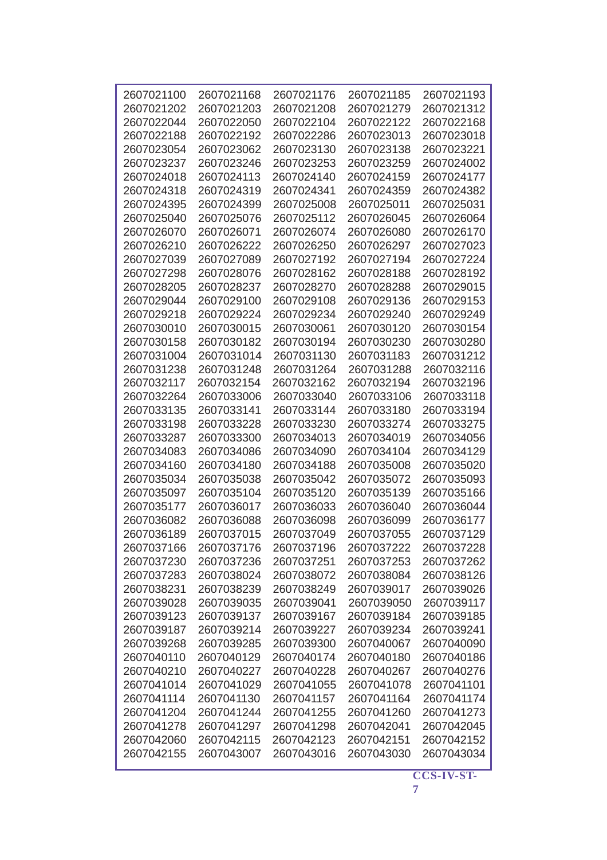| 2607021100 | 2607021168 | 2607021176 | 2607021185 | 2607021193 |
|------------|------------|------------|------------|------------|
| 2607021202 | 2607021203 | 2607021208 | 2607021279 | 2607021312 |
| 2607022044 | 2607022050 | 2607022104 | 2607022122 | 2607022168 |
| 2607022188 | 2607022192 | 2607022286 | 2607023013 | 2607023018 |
| 2607023054 | 2607023062 | 2607023130 | 2607023138 | 2607023221 |
| 2607023237 | 2607023246 | 2607023253 | 2607023259 | 2607024002 |
| 2607024018 | 2607024113 | 2607024140 | 2607024159 | 2607024177 |
| 2607024318 | 2607024319 | 2607024341 | 2607024359 | 2607024382 |
| 2607024395 | 2607024399 | 2607025008 | 2607025011 | 2607025031 |
| 2607025040 | 2607025076 | 2607025112 | 2607026045 | 2607026064 |
| 2607026070 | 2607026071 | 2607026074 | 2607026080 | 2607026170 |
| 2607026210 | 2607026222 | 2607026250 | 2607026297 | 2607027023 |
| 2607027039 | 2607027089 | 2607027192 | 2607027194 | 2607027224 |
| 2607027298 | 2607028076 | 2607028162 | 2607028188 | 2607028192 |
| 2607028205 | 2607028237 | 2607028270 | 2607028288 | 2607029015 |
| 2607029044 | 2607029100 | 2607029108 | 2607029136 | 2607029153 |
| 2607029218 | 2607029224 | 2607029234 | 2607029240 | 2607029249 |
|            |            |            |            | 2607030154 |
| 2607030010 | 2607030015 | 2607030061 | 2607030120 |            |
| 2607030158 | 2607030182 | 2607030194 | 2607030230 | 2607030280 |
| 2607031004 | 2607031014 | 2607031130 | 2607031183 | 2607031212 |
| 2607031238 | 2607031248 | 2607031264 | 2607031288 | 2607032116 |
| 2607032117 | 2607032154 | 2607032162 | 2607032194 | 2607032196 |
| 2607032264 | 2607033006 | 2607033040 | 2607033106 | 2607033118 |
| 2607033135 | 2607033141 | 2607033144 | 2607033180 | 2607033194 |
| 2607033198 | 2607033228 | 2607033230 | 2607033274 | 2607033275 |
| 2607033287 | 2607033300 | 2607034013 | 2607034019 | 2607034056 |
| 2607034083 | 2607034086 | 2607034090 | 2607034104 | 2607034129 |
| 2607034160 | 2607034180 | 2607034188 | 2607035008 | 2607035020 |
| 2607035034 | 2607035038 | 2607035042 | 2607035072 | 2607035093 |
| 2607035097 | 2607035104 | 2607035120 | 2607035139 | 2607035166 |
| 2607035177 | 2607036017 | 2607036033 | 2607036040 | 2607036044 |
| 2607036082 | 2607036088 | 2607036098 | 2607036099 | 2607036177 |
| 2607036189 | 2607037015 | 2607037049 | 2607037055 | 2607037129 |
| 2607037166 | 2607037176 | 2607037196 | 2607037222 | 2607037228 |
| 2607037230 | 2607037236 | 2607037251 | 2607037253 | 2607037262 |
| 2607037283 | 2607038024 | 2607038072 | 2607038084 | 2607038126 |
| 2607038231 | 2607038239 | 2607038249 | 2607039017 | 2607039026 |
| 2607039028 | 2607039035 | 2607039041 | 2607039050 | 2607039117 |
| 2607039123 | 2607039137 | 2607039167 | 2607039184 | 2607039185 |
| 2607039187 | 2607039214 | 2607039227 | 2607039234 | 2607039241 |
| 2607039268 | 2607039285 | 2607039300 | 2607040067 | 2607040090 |
| 2607040110 | 2607040129 | 2607040174 | 2607040180 | 2607040186 |
| 2607040210 | 2607040227 | 2607040228 | 2607040267 | 2607040276 |
| 2607041014 | 2607041029 | 2607041055 | 2607041078 | 2607041101 |
| 2607041114 | 2607041130 | 2607041157 | 2607041164 | 2607041174 |
| 2607041204 | 2607041244 | 2607041255 | 2607041260 | 2607041273 |
| 2607041278 | 2607041297 | 2607041298 | 2607042041 | 2607042045 |
| 2607042060 | 2607042115 | 2607042123 | 2607042151 | 2607042152 |
| 2607042155 | 2607043007 | 2607043016 | 2607043030 | 2607043034 |
|            |            |            |            |            |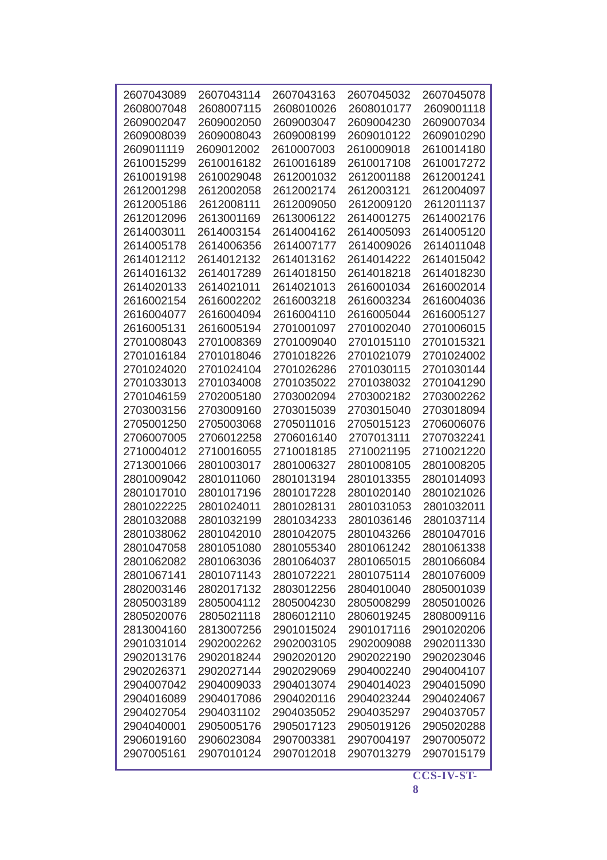| 2607043089 | 2607043114 | 2607043163 | 2607045032 | 2607045078 |
|------------|------------|------------|------------|------------|
| 2608007048 | 2608007115 | 2608010026 | 2608010177 | 2609001118 |
| 2609002047 | 2609002050 | 2609003047 | 2609004230 | 2609007034 |
| 2609008039 | 2609008043 | 2609008199 | 2609010122 | 2609010290 |
| 2609011119 | 2609012002 | 2610007003 | 2610009018 | 2610014180 |
| 2610015299 | 2610016182 | 2610016189 | 2610017108 | 2610017272 |
| 2610019198 | 2610029048 | 2612001032 | 2612001188 | 2612001241 |
| 2612001298 | 2612002058 | 2612002174 | 2612003121 | 2612004097 |
| 2612005186 | 2612008111 | 2612009050 | 2612009120 | 2612011137 |
| 2612012096 | 2613001169 | 2613006122 | 2614001275 | 2614002176 |
| 2614003011 | 2614003154 | 2614004162 | 2614005093 | 2614005120 |
| 2614005178 | 2614006356 | 2614007177 | 2614009026 | 2614011048 |
| 2614012112 | 2614012132 | 2614013162 | 2614014222 | 2614015042 |
| 2614016132 | 2614017289 | 2614018150 | 2614018218 | 2614018230 |
| 2614020133 | 2614021011 | 2614021013 | 2616001034 | 2616002014 |
| 2616002154 | 2616002202 | 2616003218 | 2616003234 | 2616004036 |
| 2616004077 | 2616004094 | 2616004110 | 2616005044 | 2616005127 |
| 2616005131 | 2616005194 | 2701001097 | 2701002040 | 2701006015 |
| 2701008043 | 2701008369 | 2701009040 | 2701015110 | 2701015321 |
| 2701016184 | 2701018046 | 2701018226 | 2701021079 | 2701024002 |
| 2701024020 | 2701024104 | 2701026286 | 2701030115 | 2701030144 |
| 2701033013 | 2701034008 | 2701035022 | 2701038032 | 2701041290 |
| 2701046159 | 2702005180 | 2703002094 | 2703002182 | 2703002262 |
| 2703003156 | 2703009160 | 2703015039 | 2703015040 | 2703018094 |
| 2705001250 | 2705003068 | 2705011016 | 2705015123 | 2706006076 |
| 2706007005 | 2706012258 | 2706016140 | 2707013111 | 2707032241 |
| 2710004012 | 2710016055 | 2710018185 | 2710021195 | 2710021220 |
| 2713001066 | 2801003017 | 2801006327 | 2801008105 | 2801008205 |
| 2801009042 | 2801011060 | 2801013194 | 2801013355 | 2801014093 |
| 2801017010 | 2801017196 | 2801017228 | 2801020140 | 2801021026 |
| 2801022225 | 2801024011 | 2801028131 | 2801031053 | 2801032011 |
| 2801032088 | 2801032199 | 2801034233 | 2801036146 | 2801037114 |
| 2801038062 | 2801042010 | 2801042075 | 2801043266 | 2801047016 |
| 2801047058 | 2801051080 | 2801055340 | 2801061242 | 2801061338 |
| 2801062082 | 2801063036 | 2801064037 | 2801065015 | 2801066084 |
| 2801067141 | 2801071143 | 2801072221 | 2801075114 | 2801076009 |
| 2802003146 | 2802017132 | 2803012256 | 2804010040 | 2805001039 |
| 2805003189 | 2805004112 | 2805004230 | 2805008299 | 2805010026 |
| 2805020076 | 2805021118 | 2806012110 | 2806019245 | 2808009116 |
| 2813004160 | 2813007256 | 2901015024 | 2901017116 | 2901020206 |
| 2901031014 | 2902002262 | 2902003105 | 2902009088 | 2902011330 |
| 2902013176 | 2902018244 | 2902020120 | 2902022190 | 2902023046 |
| 2902026371 | 2902027144 | 2902029069 | 2904002240 | 2904004107 |
| 2904007042 | 2904009033 | 2904013074 | 2904014023 | 2904015090 |
| 2904016089 | 2904017086 | 2904020116 | 2904023244 | 2904024067 |
| 2904027054 | 2904031102 | 2904035052 | 2904035297 | 2904037057 |
| 2904040001 | 2905005176 | 2905017123 | 2905019126 | 2905020288 |
| 2906019160 | 2906023084 | 2907003381 | 2907004197 | 2907005072 |
| 2907005161 | 2907010124 | 2907012018 | 2907013279 | 2907015179 |
|            |            |            |            |            |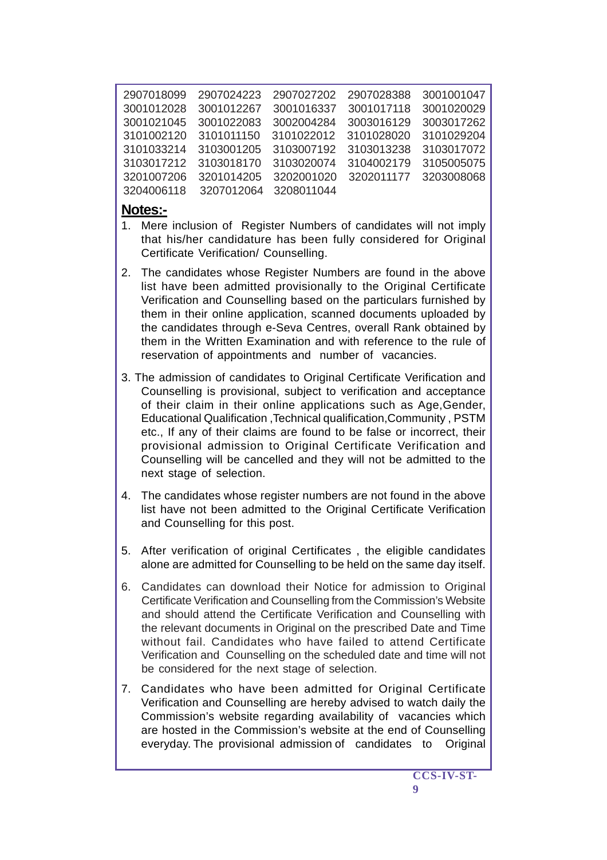| 2907018099 | 2907024223 | 2907027202 | 2907028388 | 3001001047 |
|------------|------------|------------|------------|------------|
| 3001012028 | 3001012267 | 3001016337 | 3001017118 | 3001020029 |
| 3001021045 | 3001022083 | 3002004284 | 3003016129 | 3003017262 |
| 3101002120 | 3101011150 | 3101022012 | 3101028020 | 3101029204 |
| 3101033214 | 3103001205 | 3103007192 | 3103013238 | 3103017072 |
| 3103017212 | 3103018170 | 3103020074 | 3104002179 | 3105005075 |
| 3201007206 | 3201014205 | 3202001020 | 3202011177 | 3203008068 |
| 3204006118 | 3207012064 | 3208011044 |            |            |

## **Notes:-**

- 1. Mere inclusion of Register Numbers of candidates will not imply that his/her candidature has been fully considered for Original Certificate Verification/ Counselling.
- 2. The candidates whose Register Numbers are found in the above list have been admitted provisionally to the Original Certificate Verification and Counselling based on the particulars furnished by them in their online application, scanned documents uploaded by the candidates through e-Seva Centres, overall Rank obtained by them in the Written Examination and with reference to the rule of reservation of appointments and number of vacancies.
- 3. The admission of candidates to Original Certificate Verification and Counselling is provisional, subject to verification and acceptance of their claim in their online applications such as Age,Gender, Educational Qualification ,Technical qualification,Community , PSTM etc., If any of their claims are found to be false or incorrect, their provisional admission to Original Certificate Verification and Counselling will be cancelled and they will not be admitted to the next stage of selection.
- 4. The candidates whose register numbers are not found in the above list have not been admitted to the Original Certificate Verification and Counselling for this post.
- 5. After verification of original Certificates , the eligible candidates alone are admitted for Counselling to be held on the same day itself.
- 6. Candidates can download their Notice for admission to Original Certificate Verification and Counselling from the Commission's Website and should attend the Certificate Verification and Counselling with the relevant documents in Original on the prescribed Date and Time without fail. Candidates who have failed to attend Certificate Verification and Counselling on the scheduled date and time will not be considered for the next stage of selection.
- 7. Candidates who have been admitted for Original Certificate Verification and Counselling are hereby advised to watch daily the Commission's website regarding availability of vacancies which are hosted in the Commission's website at the end of Counselling everyday. The provisional admission of candidates to Original